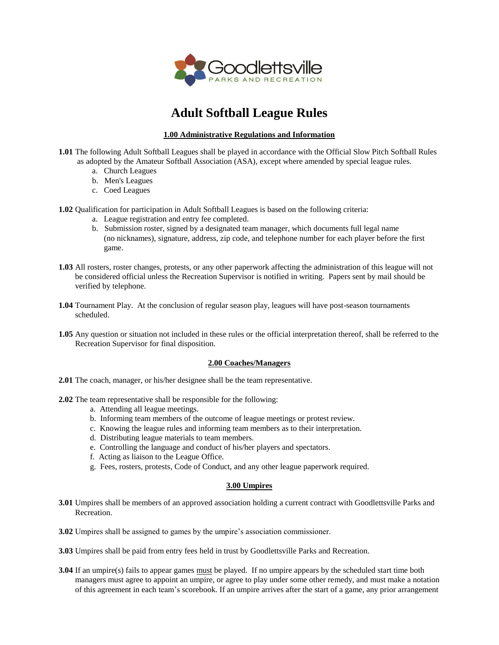

# **Adult Softball League Rules**

# **1.00 Administrative Regulations and Information**

- **1.01** The following Adult Softball Leagues shall be played in accordance with the Official Slow Pitch Softball Rules as adopted by the Amateur Softball Association (ASA), except where amended by special league rules.
	- a. Church Leagues
	- b. Men's Leagues
	- c. Coed Leagues

**1.02** Qualification for participation in Adult Softball Leagues is based on the following criteria:

- a. League registration and entry fee completed.
- b. Submission roster, signed by a designated team manager, which documents full legal name (no nicknames), signature, address, zip code, and telephone number for each player before the first game.
- **1.03** All rosters, roster changes, protests, or any other paperwork affecting the administration of this league will not be considered official unless the Recreation Supervisor is notified in writing. Papers sent by mail should be verified by telephone.
- **1.04** Tournament Play. At the conclusion of regular season play, leagues will have post-season tournaments scheduled.
- **1.05** Any question or situation not included in these rules or the official interpretation thereof, shall be referred to the Recreation Supervisor for final disposition.

#### **2.00 Coaches/Managers**

- **2.01** The coach, manager, or his/her designee shall be the team representative.
- **2.02** The team representative shall be responsible for the following:
	- a. Attending all league meetings.
	- b. Informing team members of the outcome of league meetings or protest review.
	- c. Knowing the league rules and informing team members as to their interpretation.
	- d. Distributing league materials to team members.
	- e. Controlling the language and conduct of his/her players and spectators.
	- f. Acting as liaison to the League Office.
	- g. Fees, rosters, protests, Code of Conduct, and any other league paperwork required.

#### **3.00 Umpires**

- **3.01** Umpires shall be members of an approved association holding a current contract with Goodlettsville Parks and Recreation.
- **3.02** Umpires shall be assigned to games by the umpire's association commissioner.
- **3.03** Umpires shall be paid from entry fees held in trust by Goodlettsville Parks and Recreation.
- **3.04** If an umpire(s) fails to appear games must be played. If no umpire appears by the scheduled start time both managers must agree to appoint an umpire, or agree to play under some other remedy, and must make a notation of this agreement in each team's scorebook. If an umpire arrives after the start of a game, any prior arrangement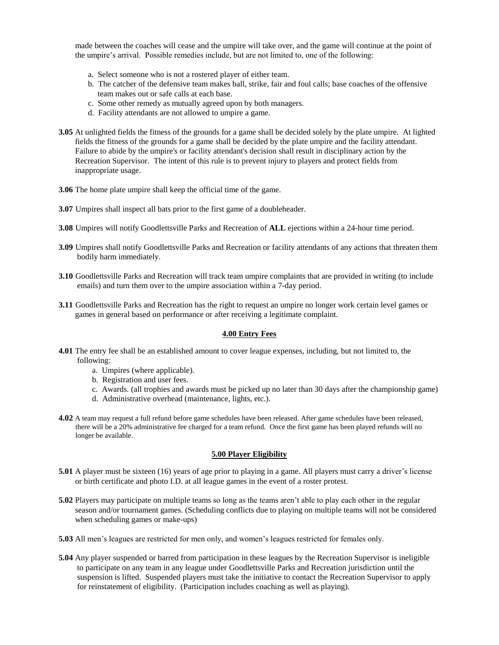made between the coaches will cease and the umpire will take over, and the game will continue at the point of the umpire's arrival. Possible remedies include, but are not limited to, one of the following:

- a. Select someone who is not a rostered player of either team.
- b. The catcher of the defensive team makes ball, strike, fair and foul calls; base coaches of the offensive team makes out or safe calls at each base.
- c. Some other remedy as mutually agreed upon by both managers.
- d. Facility attendants are not allowed to umpire a game.
- **3.05** At unlighted fields the fitness of the grounds for a game shall be decided solely by the plate umpire. At lighted fields the fitness of the grounds for a game shall be decided by the plate umpire and the facility attendant. Failure to abide by the umpire's or facility attendant's decision shall result in disciplinary action by the Recreation Supervisor. The intent of this rule is to prevent injury to players and protect fields from inappropriate usage.
- **3.06** The home plate umpire shall keep the official time of the game.
- **3.07** Umpires shall inspect all bats prior to the first game of a doubleheader.
- **3.08** Umpires will notify Goodlettsville Parks and Recreation of **ALL** ejections within a 24-hour time period.
- **3.09** Umpires shall notify Goodlettsville Parks and Recreation or facility attendants of any actions that threaten them bodily harm immediately.
- **3.10** Goodlettsville Parks and Recreation will track team umpire complaints that are provided in writing (to include emails) and turn them over to the umpire association within a 7-day period.
- **3.11** Goodlettsville Parks and Recreation has the right to request an umpire no longer work certain level games or games in general based on performance or after receiving a legitimate complaint.

#### **4.00 Entry Fees**

- **4.01** The entry fee shall be an established amount to cover league expenses, including, but not limited to, the following:
	- a. Umpires (where applicable).
	- b. Registration and user fees.
	- c. Awards. (all trophies and awards must be picked up no later than 30 days after the championship game)
	- d. Administrative overhead (maintenance, lights, etc.).
- **4.02** A team may request a full refund before game schedules have been released. After game schedules have been released, there will be a 20% administrative fee charged for a team refund. Once the first game has been played refunds will no longer be available.

#### **5.00 Player Eligibility**

- **5.01** A player must be sixteen (16) years of age prior to playing in a game. All players must carry a driver's license or birth certificate and photo I.D. at all league games in the event of a roster protest.
- **5.02** Players may participate on multiple teams so long as the teams aren't able to play each other in the regular season and/or tournament games. (Scheduling conflicts due to playing on multiple teams will not be considered when scheduling games or make-ups)
- **5.03** All men's leagues are restricted for men only, and women's leagues restricted for females only.
- **5.04** Any player suspended or barred from participation in these leagues by the Recreation Supervisor is ineligible to participate on any team in any league under Goodlettsville Parks and Recreation jurisdiction until the suspension is lifted. Suspended players must take the initiative to contact the Recreation Supervisor to apply for reinstatement of eligibility. (Participation includes coaching as well as playing).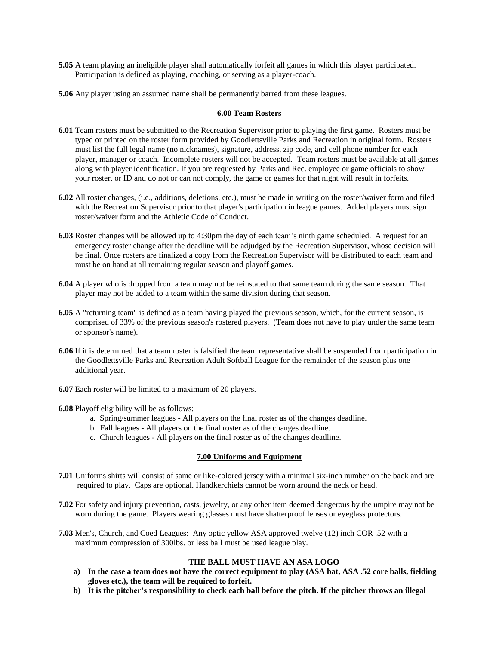- **5.05** A team playing an ineligible player shall automatically forfeit all games in which this player participated. Participation is defined as playing, coaching, or serving as a player-coach.
- **5.06** Any player using an assumed name shall be permanently barred from these leagues.

#### **6.00 Team Rosters**

- **6.01** Team rosters must be submitted to the Recreation Supervisor prior to playing the first game. Rosters must be typed or printed on the roster form provided by Goodlettsville Parks and Recreation in original form. Rosters must list the full legal name (no nicknames), signature, address, zip code, and cell phone number for each player, manager or coach. Incomplete rosters will not be accepted. Team rosters must be available at all games along with player identification. If you are requested by Parks and Rec. employee or game officials to show your roster, or ID and do not or can not comply, the game or games for that night will result in forfeits.
- **6.02** All roster changes, (i.e., additions, deletions, etc.), must be made in writing on the roster/waiver form and filed with the Recreation Supervisor prior to that player's participation in league games. Added players must sign roster/waiver form and the Athletic Code of Conduct.
- **6.03** Roster changes will be allowed up to 4:30pm the day of each team's ninth game scheduled. A request for an emergency roster change after the deadline will be adjudged by the Recreation Supervisor, whose decision will be final. Once rosters are finalized a copy from the Recreation Supervisor will be distributed to each team and must be on hand at all remaining regular season and playoff games.
- **6.04** A player who is dropped from a team may not be reinstated to that same team during the same season. That player may not be added to a team within the same division during that season.
- **6.05** A "returning team" is defined as a team having played the previous season, which, for the current season, is comprised of 33% of the previous season's rostered players. (Team does not have to play under the same team or sponsor's name).
- **6.06** If it is determined that a team roster is falsified the team representative shall be suspended from participation in the Goodlettsville Parks and Recreation Adult Softball League for the remainder of the season plus one additional year.
- **6.07** Each roster will be limited to a maximum of 20 players.

**6.08** Playoff eligibility will be as follows:

- a. Spring/summer leagues All players on the final roster as of the changes deadline.
- b. Fall leagues All players on the final roster as of the changes deadline.
- c. Church leagues All players on the final roster as of the changes deadline.

#### **7.00 Uniforms and Equipment**

- **7.01** Uniforms shirts will consist of same or like-colored jersey with a minimal six-inch number on the back and are required to play. Caps are optional. Handkerchiefs cannot be worn around the neck or head.
- **7.02** For safety and injury prevention, casts, jewelry, or any other item deemed dangerous by the umpire may not be worn during the game. Players wearing glasses must have shatterproof lenses or eyeglass protectors.
- **7.03** Men's, Church, and Coed Leagues: Any optic yellow ASA approved twelve (12) inch COR .52 with a maximum compression of 300lbs. or less ball must be used league play.

## **THE BALL MUST HAVE AN ASA LOGO**

- **a) In the case a team does not have the correct equipment to play (ASA bat, ASA .52 core balls, fielding gloves etc.), the team will be required to forfeit.**
- **b) It is the pitcher's responsibility to check each ball before the pitch. If the pitcher throws an illegal**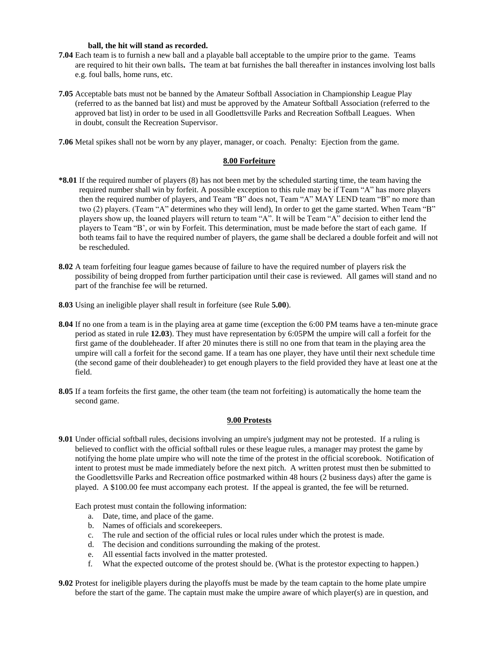#### **ball, the hit will stand as recorded.**

- **7.04** Each team is to furnish a new ball and a playable ball acceptable to the umpire prior to the game. Teams are required to hit their own balls**.** The team at bat furnishes the ball thereafter in instances involving lost balls e.g. foul balls, home runs, etc.
- **7.05** Acceptable bats must not be banned by the Amateur Softball Association in Championship League Play (referred to as the banned bat list) and must be approved by the Amateur Softball Association (referred to the approved bat list) in order to be used in all Goodlettsville Parks and Recreation Softball Leagues. When in doubt, consult the Recreation Supervisor.

**7.06** Metal spikes shall not be worn by any player, manager, or coach. Penalty: Ejection from the game.

#### **8.00 Forfeiture**

- **\*8.01** If the required number of players (8) has not been met by the scheduled starting time, the team having the required number shall win by forfeit. A possible exception to this rule may be if Team "A" has more players then the required number of players, and Team "B" does not, Team "A" MAY LEND team "B" no more than two (2) players. (Team "A" determines who they will lend), In order to get the game started. When Team "B" players show up, the loaned players will return to team "A". It will be Team "A" decision to either lend the players to Team "B', or win by Forfeit. This determination, must be made before the start of each game. If both teams fail to have the required number of players, the game shall be declared a double forfeit and will not be rescheduled.
- **8.02** A team forfeiting four league games because of failure to have the required number of players risk the possibility of being dropped from further participation until their case is reviewed. All games will stand and no part of the franchise fee will be returned.
- **8.03** Using an ineligible player shall result in forfeiture (see Rule **5.00**).
- **8.04** If no one from a team is in the playing area at game time (exception the 6:00 PM teams have a ten-minute grace period as stated in rule **12.03**). They must have representation by 6:05PM the umpire will call a forfeit for the first game of the doubleheader. If after 20 minutes there is still no one from that team in the playing area the umpire will call a forfeit for the second game. If a team has one player, they have until their next schedule time (the second game of their doubleheader) to get enough players to the field provided they have at least one at the field.
- **8.05** If a team forfeits the first game, the other team (the team not forfeiting) is automatically the home team the second game.

#### **9.00 Protests**

**9.01** Under official softball rules, decisions involving an umpire's judgment may not be protested. If a ruling is believed to conflict with the official softball rules or these league rules, a manager may protest the game by notifying the home plate umpire who will note the time of the protest in the official scorebook. Notification of intent to protest must be made immediately before the next pitch. A written protest must then be submitted to the Goodlettsville Parks and Recreation office postmarked within 48 hours (2 business days) after the game is played. A \$100.00 fee must accompany each protest. If the appeal is granted, the fee will be returned.

Each protest must contain the following information:

- a. Date, time, and place of the game.
- b. Names of officials and scorekeepers.
- c. The rule and section of the official rules or local rules under which the protest is made.
- d. The decision and conditions surrounding the making of the protest.
- e. All essential facts involved in the matter protested.
- f. What the expected outcome of the protest should be. (What is the protestor expecting to happen.)
- **9.02** Protest for ineligible players during the playoffs must be made by the team captain to the home plate umpire before the start of the game. The captain must make the umpire aware of which player(s) are in question, and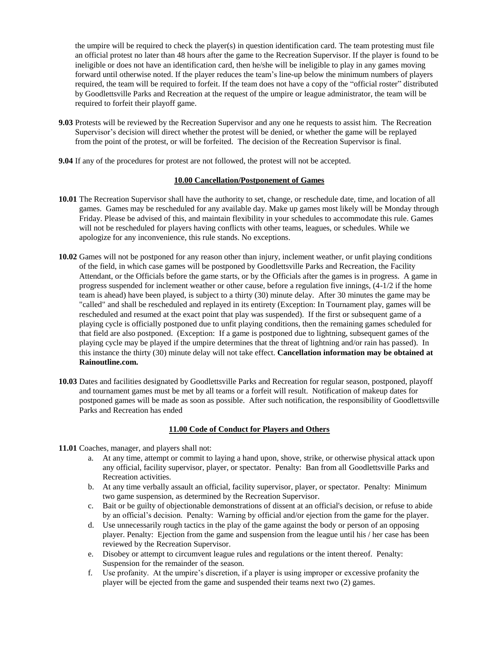the umpire will be required to check the player(s) in question identification card. The team protesting must file an official protest no later than 48 hours after the game to the Recreation Supervisor. If the player is found to be ineligible or does not have an identification card, then he/she will be ineligible to play in any games moving forward until otherwise noted. If the player reduces the team's line-up below the minimum numbers of players required, the team will be required to forfeit. If the team does not have a copy of the "official roster" distributed by Goodlettsville Parks and Recreation at the request of the umpire or league administrator, the team will be required to forfeit their playoff game.

- **9.03** Protests will be reviewed by the Recreation Supervisor and any one he requests to assist him. The Recreation Supervisor's decision will direct whether the protest will be denied, or whether the game will be replayed from the point of the protest, or will be forfeited. The decision of the Recreation Supervisor is final.
- **9.04** If any of the procedures for protest are not followed, the protest will not be accepted.

# **10.00 Cancellation/Postponement of Games**

- **10.01** The Recreation Supervisor shall have the authority to set, change, or reschedule date, time, and location of all games. Games may be rescheduled for any available day. Make up games most likely will be Monday through Friday. Please be advised of this, and maintain flexibility in your schedules to accommodate this rule. Games will not be rescheduled for players having conflicts with other teams, leagues, or schedules. While we apologize for any inconvenience, this rule stands. No exceptions.
- **10.02** Games will not be postponed for any reason other than injury, inclement weather, or unfit playing conditions of the field, in which case games will be postponed by Goodlettsville Parks and Recreation, the Facility Attendant, or the Officials before the game starts, or by the Officials after the games is in progress. A game in progress suspended for inclement weather or other cause, before a regulation five innings, (4-1/2 if the home team is ahead) have been played, is subject to a thirty (30) minute delay. After 30 minutes the game may be "called" and shall be rescheduled and replayed in its entirety (Exception: In Tournament play, games will be rescheduled and resumed at the exact point that play was suspended). If the first or subsequent game of a playing cycle is officially postponed due to unfit playing conditions, then the remaining games scheduled for that field are also postponed. (Exception: If a game is postponed due to lightning, subsequent games of the playing cycle may be played if the umpire determines that the threat of lightning and/or rain has passed). In this instance the thirty (30) minute delay will not take effect. **Cancellation information may be obtained at Rainoutline.com.**
- **10.03** Dates and facilities designated by Goodlettsville Parks and Recreation for regular season, postponed, playoff and tournament games must be met by all teams or a forfeit will result. Notification of makeup dates for postponed games will be made as soon as possible. After such notification, the responsibility of Goodlettsville Parks and Recreation has ended

## **11.00 Code of Conduct for Players and Others**

- **11.01** Coaches, manager, and players shall not:
	- a. At any time, attempt or commit to laying a hand upon, shove, strike, or otherwise physical attack upon any official, facility supervisor, player, or spectator. Penalty: Ban from all Goodlettsville Parks and Recreation activities.
	- b. At any time verbally assault an official, facility supervisor, player, or spectator. Penalty: Minimum two game suspension, as determined by the Recreation Supervisor.
	- c. Bait or be guilty of objectionable demonstrations of dissent at an official's decision, or refuse to abide by an official's decision. Penalty: Warning by official and/or ejection from the game for the player.
	- d. Use unnecessarily rough tactics in the play of the game against the body or person of an opposing player. Penalty: Ejection from the game and suspension from the league until his / her case has been reviewed by the Recreation Supervisor.
	- e. Disobey or attempt to circumvent league rules and regulations or the intent thereof. Penalty: Suspension for the remainder of the season.
	- f. Use profanity. At the umpire's discretion, if a player is using improper or excessive profanity the player will be ejected from the game and suspended their teams next two (2) games.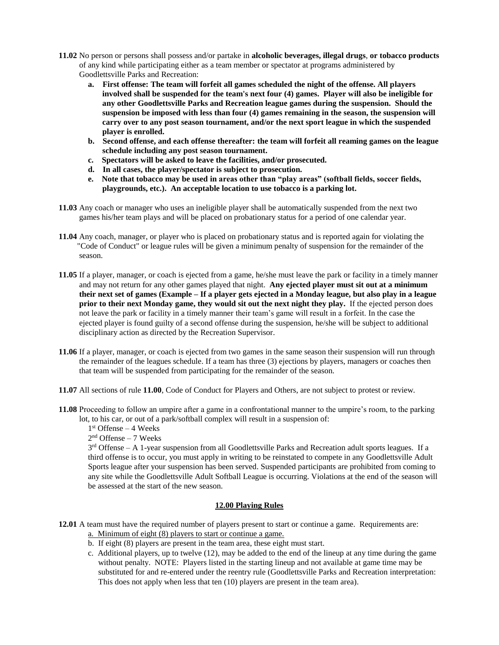- **11.02** No person or persons shall possess and/or partake in **alcoholic beverages, illegal drugs**, **or tobacco products** of any kind while participating either as a team member or spectator at programs administered by Goodlettsville Parks and Recreation:
	- **a. First offense: The team will forfeit all games scheduled the night of the offense. All players involved shall be suspended for the team's next four (4) games. Player will also be ineligible for any other Goodlettsville Parks and Recreation league games during the suspension. Should the suspension be imposed with less than four (4) games remaining in the season, the suspension will carry over to any post season tournament, and/or the next sport league in which the suspended player is enrolled.**
	- **b. Second offense, and each offense thereafter: the team will forfeit all reaming games on the league schedule including any post season tournament.**
	- **c. Spectators will be asked to leave the facilities, and/or prosecuted.**
	- **d. In all cases, the player/spectator is subject to prosecution.**
	- **e. Note that tobacco may be used in areas other than "play areas" (softball fields, soccer fields, playgrounds, etc.). An acceptable location to use tobacco is a parking lot.**
- **11.03** Any coach or manager who uses an ineligible player shall be automatically suspended from the next two games his/her team plays and will be placed on probationary status for a period of one calendar year.
- **11.04** Any coach, manager, or player who is placed on probationary status and is reported again for violating the "Code of Conduct" or league rules will be given a minimum penalty of suspension for the remainder of the season.
- **11.05** If a player, manager, or coach is ejected from a game, he/she must leave the park or facility in a timely manner and may not return for any other games played that night. **Any ejected player must sit out at a minimum their next set of games (Example – If a player gets ejected in a Monday league, but also play in a league prior to their next Monday game, they would sit out the next night they play.** If the ejected person does not leave the park or facility in a timely manner their team's game will result in a forfeit. In the case the ejected player is found guilty of a second offense during the suspension, he/she will be subject to additional disciplinary action as directed by the Recreation Supervisor.
- **11.06** If a player, manager, or coach is ejected from two games in the same season their suspension will run through the remainder of the leagues schedule. If a team has three (3) ejections by players, managers or coaches then that team will be suspended from participating for the remainder of the season.
- **11.07** All sections of rule **11.00**, Code of Conduct for Players and Others, are not subject to protest or review.
- **11.08** Proceeding to follow an umpire after a game in a confrontational manner to the umpire's room, to the parking lot, to his car, or out of a park/softball complex will result in a suspension of:

1 st Offense – 4 Weeks

2 nd Offense – 7 Weeks

 $3<sup>rd</sup>$  Offense – A 1-year suspension from all Goodlettsville Parks and Recreation adult sports leagues. If a third offense is to occur, you must apply in writing to be reinstated to compete in any Goodlettsville Adult Sports league after your suspension has been served. Suspended participants are prohibited from coming to any site while the Goodlettsville Adult Softball League is occurring. Violations at the end of the season will be assessed at the start of the new season.

# **12.00 Playing Rules**

- **12.01** A team must have the required number of players present to start or continue a game. Requirements are: a. Minimum of eight (8) players to start or continue a game.
	- b. If eight (8) players are present in the team area, these eight must start.
	- c. Additional players, up to twelve (12), may be added to the end of the lineup at any time during the game without penalty. NOTE: Players listed in the starting lineup and not available at game time may be substituted for and re-entered under the reentry rule (Goodlettsville Parks and Recreation interpretation: This does not apply when less that ten (10) players are present in the team area).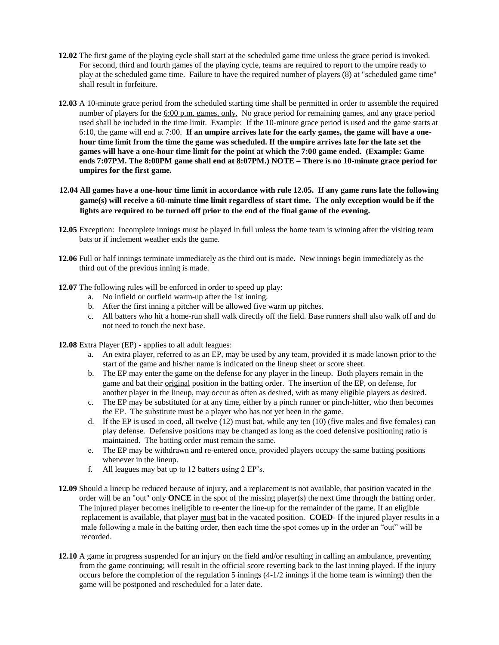- **12.02** The first game of the playing cycle shall start at the scheduled game time unless the grace period is invoked. For second, third and fourth games of the playing cycle, teams are required to report to the umpire ready to play at the scheduled game time. Failure to have the required number of players (8) at "scheduled game time" shall result in forfeiture.
- **12.03** A 10-minute grace period from the scheduled starting time shall be permitted in order to assemble the required number of players for the 6:00 p.m. games, only. No grace period for remaining games, and any grace period used shall be included in the time limit. Example: If the 10-minute grace period is used and the game starts at 6:10, the game will end at 7:00. **If an umpire arrives late for the early games, the game will have a one hour time limit from the time the game was scheduled. If the umpire arrives late for the late set the games will have a one-hour time limit for the point at which the 7:00 game ended. (Example: Game ends 7:07PM. The 8:00PM game shall end at 8:07PM.) NOTE – There is no 10-minute grace period for umpires for the first game.**
- **12.04 All games have a one-hour time limit in accordance with rule 12.05. If any game runs late the following game(s) will receive a 60-minute time limit regardless of start time. The only exception would be if the lights are required to be turned off prior to the end of the final game of the evening.**
- **12.05** Exception: Incomplete innings must be played in full unless the home team is winning after the visiting team bats or if inclement weather ends the game.
- **12.06** Full or half innings terminate immediately as the third out is made. New innings begin immediately as the third out of the previous inning is made.
- **12.07** The following rules will be enforced in order to speed up play:
	- a. No infield or outfield warm-up after the 1st inning.
	- b. After the first inning a pitcher will be allowed five warm up pitches.
	- c. All batters who hit a home-run shall walk directly off the field. Base runners shall also walk off and do not need to touch the next base.
- **12.08** Extra Player (EP) applies to all adult leagues:
	- a. An extra player, referred to as an EP, may be used by any team, provided it is made known prior to the start of the game and his/her name is indicated on the lineup sheet or score sheet.
	- b. The EP may enter the game on the defense for any player in the lineup. Both players remain in the game and bat their original position in the batting order. The insertion of the EP, on defense, for another player in the lineup, may occur as often as desired, with as many eligible players as desired.
	- c. The EP may be substituted for at any time, either by a pinch runner or pinch-hitter, who then becomes the EP. The substitute must be a player who has not yet been in the game.
	- d. If the EP is used in coed, all twelve (12) must bat, while any ten (10) (five males and five females) can play defense. Defensive positions may be changed as long as the coed defensive positioning ratio is maintained. The batting order must remain the same.
	- e. The EP may be withdrawn and re-entered once, provided players occupy the same batting positions whenever in the lineup.
	- f. All leagues may bat up to 12 batters using 2 EP's.
- **12.09** Should a lineup be reduced because of injury, and a replacement is not available, that position vacated in the order will be an "out" only **ONCE** in the spot of the missing player(s) the next time through the batting order. The injured player becomes ineligible to re-enter the line-up for the remainder of the game. If an eligible replacement is available, that player must bat in the vacated position. **COED**- If the injured player results in a male following a male in the batting order, then each time the spot comes up in the order an "out" will be recorded.
- **12.10** A game in progress suspended for an injury on the field and/or resulting in calling an ambulance, preventing from the game continuing; will result in the official score reverting back to the last inning played. If the injury occurs before the completion of the regulation 5 innings (4-1/2 innings if the home team is winning) then the game will be postponed and rescheduled for a later date.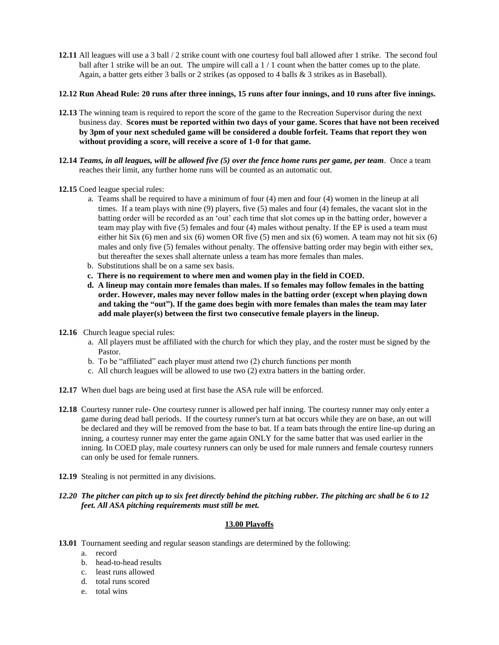**12.11** All leagues will use a 3 ball / 2 strike count with one courtesy foul ball allowed after 1 strike. The second foul ball after 1 strike will be an out. The umpire will call a 1 / 1 count when the batter comes up to the plate. Again, a batter gets either 3 balls or 2 strikes (as opposed to 4 balls & 3 strikes as in Baseball).

#### **12.12 Run Ahead Rule: 20 runs after three innings, 15 runs after four innings, and 10 runs after five innings.**

- **12.13** The winning team is required to report the score of the game to the Recreation Supervisor during the next business day. **Scores must be reported within two days of your game. Scores that have not been received by 3pm of your next scheduled game will be considered a double forfeit. Teams that report they won without providing a score, will receive a score of 1-0 for that game.**
- **12.14** *Teams, in all leagues, will be allowed five (5) over the fence home runs per game, per team*. Once a team reaches their limit, any further home runs will be counted as an automatic out.
- **12.15** Coed league special rules:
	- a. Teams shall be required to have a minimum of four (4) men and four (4) women in the lineup at all times. If a team plays with nine (9) players, five (5) males and four (4) females, the vacant slot in the batting order will be recorded as an 'out' each time that slot comes up in the batting order, however a team may play with five (5) females and four (4) males without penalty. If the EP is used a team must either hit Six (6) men and six (6) women OR five (5) men and six (6) women. A team may not hit six (6) males and only five (5) females without penalty. The offensive batting order may begin with either sex, but thereafter the sexes shall alternate unless a team has more females than males.
	- b. Substitutions shall be on a same sex basis.
	- **c. There is no requirement to where men and women play in the field in COED.**
	- **d. A lineup may contain more females than males. If so females may follow females in the batting order. However, males may never follow males in the batting order (except when playing down and taking the "out"). If the game does begin with more females than males the team may later add male player(s) between the first two consecutive female players in the lineup.**
- **12.16** Church league special rules:
	- a. All players must be affiliated with the church for which they play, and the roster must be signed by the Pastor.
	- b. To be "affiliated" each player must attend two (2) church functions per month
	- c. All church leagues will be allowed to use two (2) extra batters in the batting order.
- **12.17** When duel bags are being used at first base the ASA rule will be enforced.
- **12.18** Courtesy runner rule- One courtesy runner is allowed per half inning. The courtesy runner may only enter a game during dead ball periods. If the courtesy runner's turn at bat occurs while they are on base, an out will be declared and they will be removed from the base to bat. If a team bats through the entire line-up during an inning, a courtesy runner may enter the game again ONLY for the same batter that was used earlier in the inning. In COED play, male courtesy runners can only be used for male runners and female courtesy runners can only be used for female runners.
- **12.19** Stealing is not permitted in any divisions.
- *12.20 The pitcher can pitch up to six feet directly behind the pitching rubber. The pitching arc shall be 6 to 12 feet. All ASA pitching requirements must still be met.*

# **13.00 Playoffs**

- **13.01** Tournament seeding and regular season standings are determined by the following:
	- a. record
	- b. head-to-head results
	- c. least runs allowed
	- d. total runs scored
	- e. total wins